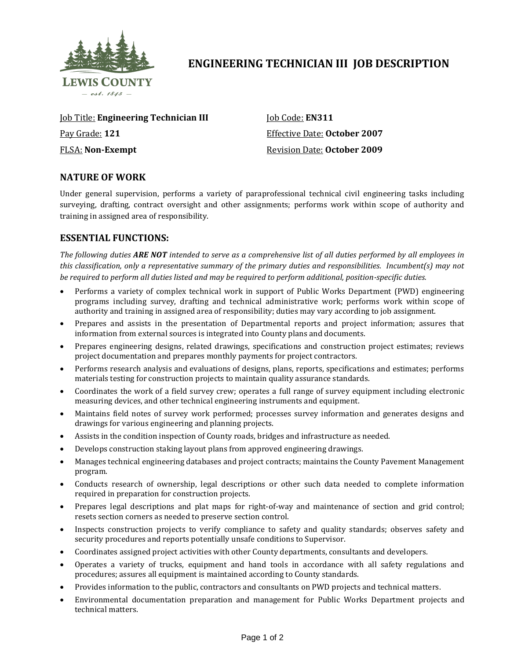

# **ENGINEERING TECHNICIAN III JOB DESCRIPTION**

Job Title: **Engineering Technician III** Pay Grade: **121** FLSA: **Non-Exempt**

Job Code: **EN311** Effective Date: **October 2007** Revision Date: **October 2009**

## **NATURE OF WORK**

Under general supervision, performs a variety of paraprofessional technical civil engineering tasks including surveying, drafting, contract oversight and other assignments; performs work within scope of authority and training in assigned area of responsibility.

## **ESSENTIAL FUNCTIONS:**

*The following duties ARE NOT intended to serve as a comprehensive list of all duties performed by all employees in this classification, only a representative summary of the primary duties and responsibilities. Incumbent(s) may not be required to perform all duties listed and may be required to perform additional, position-specific duties.*

- Performs a variety of complex technical work in support of Public Works Department (PWD) engineering programs including survey, drafting and technical administrative work; performs work within scope of authority and training in assigned area of responsibility; duties may vary according to job assignment.
- Prepares and assists in the presentation of Departmental reports and project information; assures that information from external sources is integrated into County plans and documents.
- Prepares engineering designs, related drawings, specifications and construction project estimates; reviews project documentation and prepares monthly payments for project contractors.
- Performs research analysis and evaluations of designs, plans, reports, specifications and estimates; performs materials testing for construction projects to maintain quality assurance standards.
- Coordinates the work of a field survey crew; operates a full range of survey equipment including electronic measuring devices, and other technical engineering instruments and equipment.
- Maintains field notes of survey work performed; processes survey information and generates designs and drawings for various engineering and planning projects.
- Assists in the condition inspection of County roads, bridges and infrastructure as needed.
- Develops construction staking layout plans from approved engineering drawings.
- Manages technical engineering databases and project contracts; maintains the County Pavement Management program.
- Conducts research of ownership, legal descriptions or other such data needed to complete information required in preparation for construction projects.
- Prepares legal descriptions and plat maps for right-of-way and maintenance of section and grid control; resets section corners as needed to preserve section control.
- Inspects construction projects to verify compliance to safety and quality standards; observes safety and security procedures and reports potentially unsafe conditions to Supervisor.
- Coordinates assigned project activities with other County departments, consultants and developers.
- Operates a variety of trucks, equipment and hand tools in accordance with all safety regulations and procedures; assures all equipment is maintained according to County standards.
- Provides information to the public, contractors and consultants on PWD projects and technical matters.
- Environmental documentation preparation and management for Public Works Department projects and technical matters.